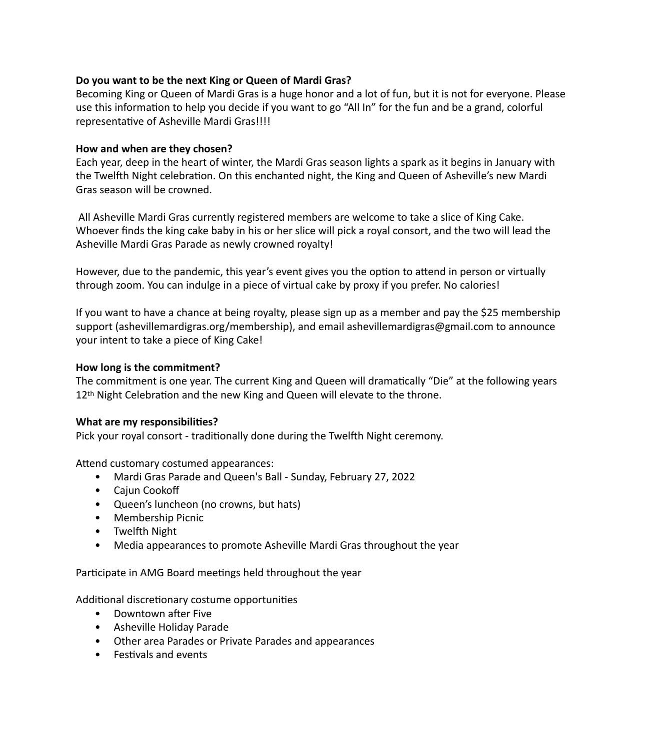# **Do you want to be the next King or Queen of Mardi Gras?**

Becoming King or Queen of Mardi Gras is a huge honor and a lot of fun, but it is not for everyone. Please use this information to help you decide if you want to go "All In" for the fun and be a grand, colorful representative of Asheville Mardi Gras!!!!

## **How and when are they chosen?**

Each year, deep in the heart of winter, the Mardi Gras season lights a spark as it begins in January with the Twelfth Night celebration. On this enchanted night, the King and Queen of Asheville's new Mardi Gras season will be crowned.

 All Asheville Mardi Gras currently registered members are welcome to take a slice of King Cake. Whoever finds the king cake baby in his or her slice will pick a royal consort, and the two will lead the Asheville Mardi Gras Parade as newly crowned royalty!

However, due to the pandemic, this year's event gives you the option to attend in person or virtually through zoom. You can indulge in a piece of virtual cake by proxy if you prefer. No calories!

If you want to have a chance at being royalty, please sign up as a member and pay the \$25 membership support (ashevillemardigras.org/membership), and email ashevillemardigras@gmail.com to announce your intent to take a piece of King Cake!

## **How long is the commitment?**

The commitment is one year. The current King and Queen will dramatically "Die" at the following years 12<sup>th</sup> Night Celebration and the new King and Queen will elevate to the throne.

## **What are my responsibilities?**

Pick your royal consort - traditionally done during the Twelfth Night ceremony.

Attend customary costumed appearances:

- Mardi Gras Parade and Queen's Ball Sunday, February 27, 2022
- Cajun Cookoff
- Queen's luncheon (no crowns, but hats)
- Membership Picnic
- Twelfth Night
- Media appearances to promote Asheville Mardi Gras throughout the year

Participate in AMG Board meetings held throughout the year

Additional discretionary costume opportunities

- Downtown after Five
- Asheville Holiday Parade
- Other area Parades or Private Parades and appearances
- Festivals and events